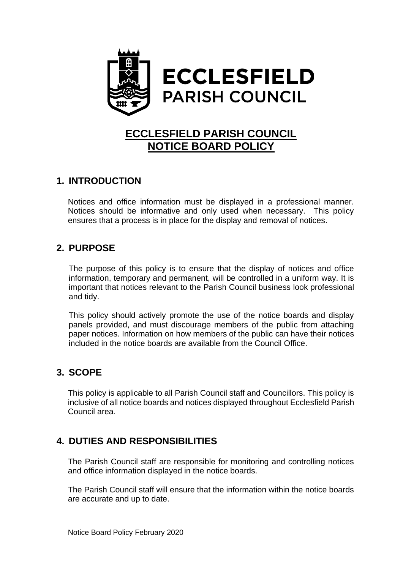

# **ECCLESFIELD PARISH COUNCIL NOTICE BOARD POLICY**

# **1. INTRODUCTION**

Notices and office information must be displayed in a professional manner. Notices should be informative and only used when necessary. This policy ensures that a process is in place for the display and removal of notices.

### **2. PURPOSE**

The purpose of this policy is to ensure that the display of notices and office information, temporary and permanent, will be controlled in a uniform way. It is important that notices relevant to the Parish Council business look professional and tidy.

This policy should actively promote the use of the notice boards and display panels provided, and must discourage members of the public from attaching paper notices. Information on how members of the public can have their notices included in the notice boards are available from the Council Office.

# **3. SCOPE**

This policy is applicable to all Parish Council staff and Councillors. This policy is inclusive of all notice boards and notices displayed throughout Ecclesfield Parish Council area.

# **4. DUTIES AND RESPONSIBILITIES**

The Parish Council staff are responsible for monitoring and controlling notices and office information displayed in the notice boards.

The Parish Council staff will ensure that the information within the notice boards are accurate and up to date.